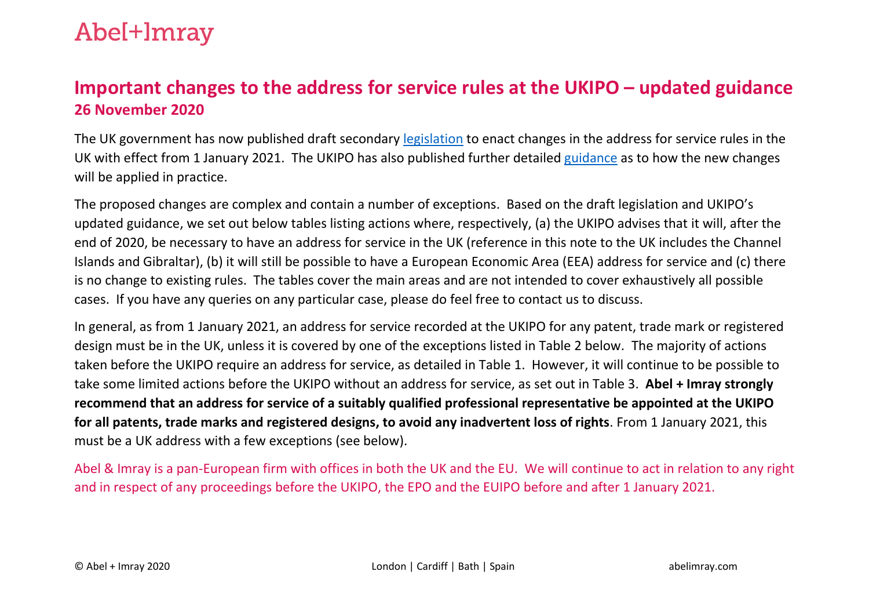### Abe<sup>[+]</sup>mray

#### **Important changes to the address for service rules at the UKIPO – updated guidance 26 November 2020**

The UK government has now published draft secondary [legislation](https://www.legislation.gov.uk/uksi/2020/1317/made) to enact changes in the address for service rules in the UK with effect from 1 January 2021. The UKIPO has also published further detailed [guidance](https://www.gov.uk/guidance/address-for-service-for-intellectual-property-rights-from-1-january-2021) as to how the new changes will be applied in practice.

The proposed changes are complex and contain a number of exceptions. Based on the draft legislation and UKIPO's updated guidance, we set out below tables listing actions where, respectively, (a) the UKIPO advises that it will, after the end of 2020, be necessary to have an address for service in the UK (reference in this note to the UK includes the Channel Islands and Gibraltar), (b) it will still be possible to have a European Economic Area (EEA) address for service and (c) there is no change to existing rules. The tables cover the main areas and are not intended to cover exhaustively all possible cases. If you have any queries on any particular case, please do feel free to contact us to discuss.

In general, as from 1 January 2021, an address for service recorded at the UKIPO for any patent, trade mark or registered design must be in the UK, unless it is covered by one of the exceptions listed in Table 2 below. The majority of actions taken before the UKIPO require an address for service, as detailed in Table 1. However, it will continue to be possible to take some limited actions before the UKIPO without an address for service, as set out in Table 3. **Abel + Imray strongly recommend that an address for service of a suitably qualified professional representative be appointed at the UKIPO for all patents, trade marks and registered designs, to avoid any inadvertent loss of rights**. From 1 January 2021, this must be a UK address with a few exceptions (see below).

Abel & Imray is a pan-European firm with offices in both the UK and the EU. We will continue to act in relation to any right and in respect of any proceedings before the UKIPO, the EPO and the EUIPO before and after 1 January 2021.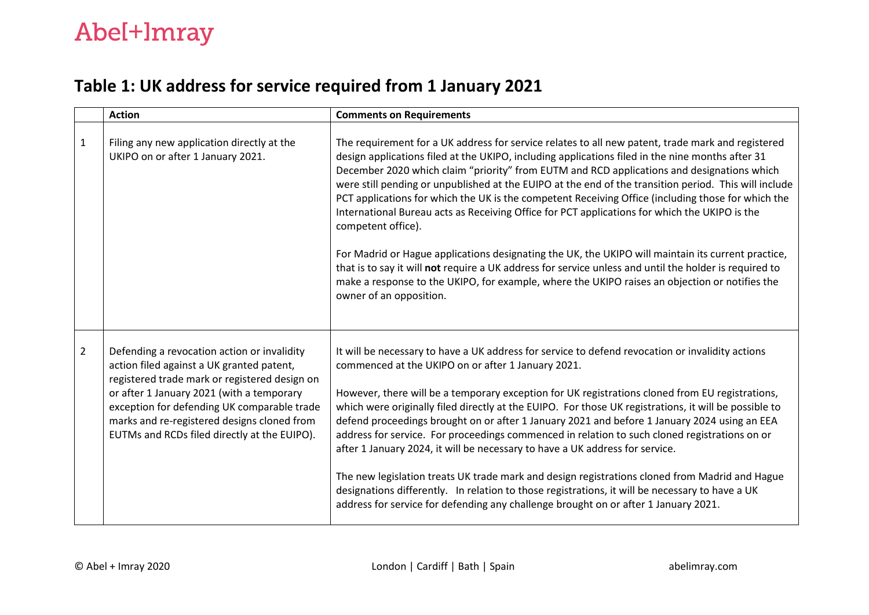#### **Table 1: UK address for service required from 1 January 2021**

|                | <b>Action</b>                                                                                                                                                                                                                                                                                                                        | <b>Comments on Requirements</b>                                                                                                                                                                                                                                                                                                                                                                                                                                                                                                                                                                                                                                                                                                                                                                                                                                                                                                                                                        |
|----------------|--------------------------------------------------------------------------------------------------------------------------------------------------------------------------------------------------------------------------------------------------------------------------------------------------------------------------------------|----------------------------------------------------------------------------------------------------------------------------------------------------------------------------------------------------------------------------------------------------------------------------------------------------------------------------------------------------------------------------------------------------------------------------------------------------------------------------------------------------------------------------------------------------------------------------------------------------------------------------------------------------------------------------------------------------------------------------------------------------------------------------------------------------------------------------------------------------------------------------------------------------------------------------------------------------------------------------------------|
| $\mathbf{1}$   | Filing any new application directly at the<br>UKIPO on or after 1 January 2021.                                                                                                                                                                                                                                                      | The requirement for a UK address for service relates to all new patent, trade mark and registered<br>design applications filed at the UKIPO, including applications filed in the nine months after 31<br>December 2020 which claim "priority" from EUTM and RCD applications and designations which<br>were still pending or unpublished at the EUIPO at the end of the transition period. This will include<br>PCT applications for which the UK is the competent Receiving Office (including those for which the<br>International Bureau acts as Receiving Office for PCT applications for which the UKIPO is the<br>competent office).<br>For Madrid or Hague applications designating the UK, the UKIPO will maintain its current practice,<br>that is to say it will not require a UK address for service unless and until the holder is required to<br>make a response to the UKIPO, for example, where the UKIPO raises an objection or notifies the<br>owner of an opposition. |
| $\overline{2}$ | Defending a revocation action or invalidity<br>action filed against a UK granted patent,<br>registered trade mark or registered design on<br>or after 1 January 2021 (with a temporary<br>exception for defending UK comparable trade<br>marks and re-registered designs cloned from<br>EUTMs and RCDs filed directly at the EUIPO). | It will be necessary to have a UK address for service to defend revocation or invalidity actions<br>commenced at the UKIPO on or after 1 January 2021.<br>However, there will be a temporary exception for UK registrations cloned from EU registrations,<br>which were originally filed directly at the EUIPO. For those UK registrations, it will be possible to<br>defend proceedings brought on or after 1 January 2021 and before 1 January 2024 using an EEA<br>address for service. For proceedings commenced in relation to such cloned registrations on or<br>after 1 January 2024, it will be necessary to have a UK address for service.<br>The new legislation treats UK trade mark and design registrations cloned from Madrid and Hague<br>designations differently. In relation to those registrations, it will be necessary to have a UK<br>address for service for defending any challenge brought on or after 1 January 2021.                                        |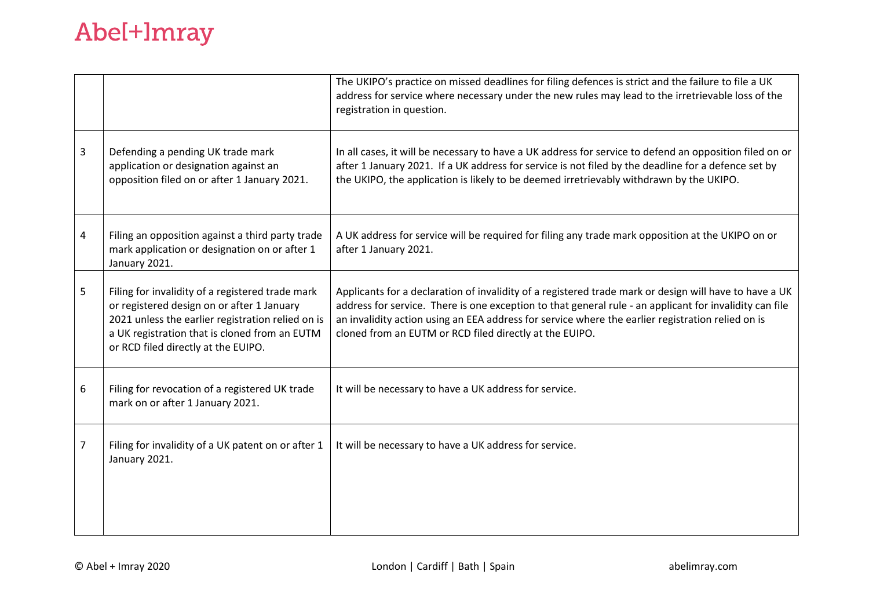## Abel+Imray

|   |                                                                                                                                                                                                                                             | The UKIPO's practice on missed deadlines for filing defences is strict and the failure to file a UK<br>address for service where necessary under the new rules may lead to the irretrievable loss of the<br>registration in question.                                                                                                                                             |
|---|---------------------------------------------------------------------------------------------------------------------------------------------------------------------------------------------------------------------------------------------|-----------------------------------------------------------------------------------------------------------------------------------------------------------------------------------------------------------------------------------------------------------------------------------------------------------------------------------------------------------------------------------|
| 3 | Defending a pending UK trade mark<br>application or designation against an<br>opposition filed on or after 1 January 2021.                                                                                                                  | In all cases, it will be necessary to have a UK address for service to defend an opposition filed on or<br>after 1 January 2021. If a UK address for service is not filed by the deadline for a defence set by<br>the UKIPO, the application is likely to be deemed irretrievably withdrawn by the UKIPO.                                                                         |
| 4 | Filing an opposition against a third party trade<br>mark application or designation on or after 1<br>January 2021.                                                                                                                          | A UK address for service will be required for filing any trade mark opposition at the UKIPO on or<br>after 1 January 2021.                                                                                                                                                                                                                                                        |
| 5 | Filing for invalidity of a registered trade mark<br>or registered design on or after 1 January<br>2021 unless the earlier registration relied on is<br>a UK registration that is cloned from an EUTM<br>or RCD filed directly at the EUIPO. | Applicants for a declaration of invalidity of a registered trade mark or design will have to have a UK<br>address for service. There is one exception to that general rule - an applicant for invalidity can file<br>an invalidity action using an EEA address for service where the earlier registration relied on is<br>cloned from an EUTM or RCD filed directly at the EUIPO. |
| 6 | Filing for revocation of a registered UK trade<br>mark on or after 1 January 2021.                                                                                                                                                          | It will be necessary to have a UK address for service.                                                                                                                                                                                                                                                                                                                            |
| 7 | Filing for invalidity of a UK patent on or after 1<br>January 2021.                                                                                                                                                                         | It will be necessary to have a UK address for service.                                                                                                                                                                                                                                                                                                                            |
|   |                                                                                                                                                                                                                                             |                                                                                                                                                                                                                                                                                                                                                                                   |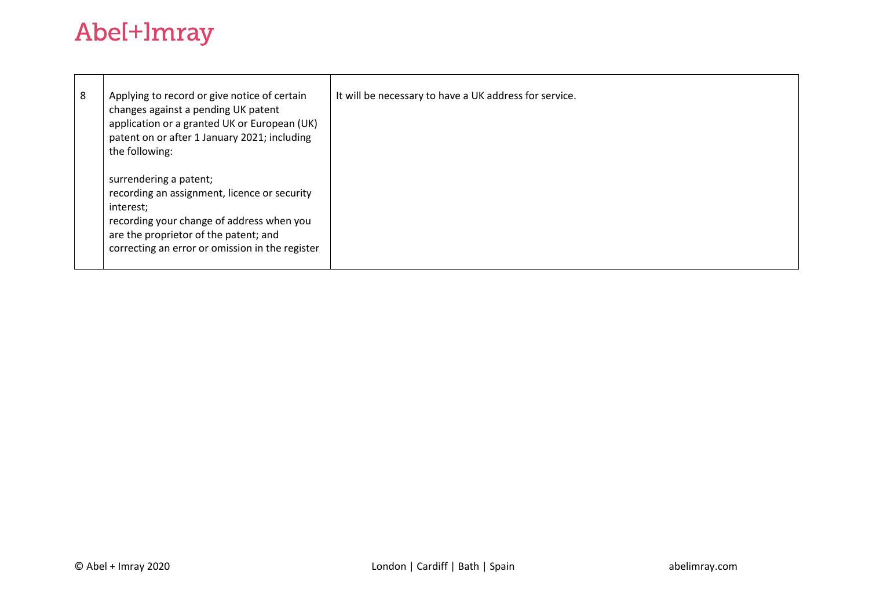## Abel+Imray

| 8 | Applying to record or give notice of certain<br>changes against a pending UK patent<br>application or a granted UK or European (UK)<br>patent on or after 1 January 2021; including<br>the following:                        | It will be necessary to have a UK address for service. |
|---|------------------------------------------------------------------------------------------------------------------------------------------------------------------------------------------------------------------------------|--------------------------------------------------------|
|   | surrendering a patent;<br>recording an assignment, licence or security<br>interest;<br>recording your change of address when you<br>are the proprietor of the patent; and<br>correcting an error or omission in the register |                                                        |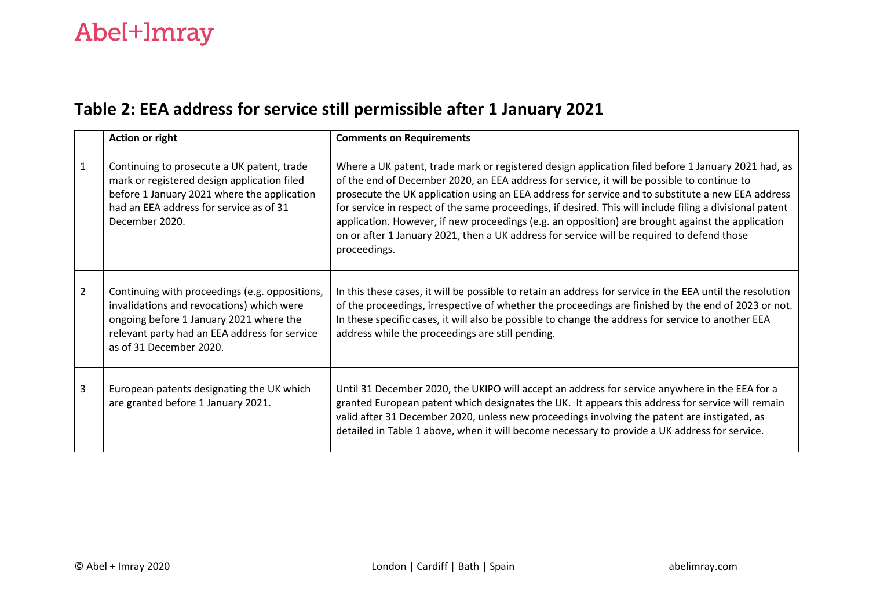#### **Table 2: EEA address for service still permissible after 1 January 2021**

|                | <b>Action or right</b>                                                                                                                                                                                             | <b>Comments on Requirements</b>                                                                                                                                                                                                                                                                                                                                                                                                                                                                                                                                                                                                       |
|----------------|--------------------------------------------------------------------------------------------------------------------------------------------------------------------------------------------------------------------|---------------------------------------------------------------------------------------------------------------------------------------------------------------------------------------------------------------------------------------------------------------------------------------------------------------------------------------------------------------------------------------------------------------------------------------------------------------------------------------------------------------------------------------------------------------------------------------------------------------------------------------|
| 1              | Continuing to prosecute a UK patent, trade<br>mark or registered design application filed<br>before 1 January 2021 where the application<br>had an EEA address for service as of 31<br>December 2020.              | Where a UK patent, trade mark or registered design application filed before 1 January 2021 had, as<br>of the end of December 2020, an EEA address for service, it will be possible to continue to<br>prosecute the UK application using an EEA address for service and to substitute a new EEA address<br>for service in respect of the same proceedings, if desired. This will include filing a divisional patent<br>application. However, if new proceedings (e.g. an opposition) are brought against the application<br>on or after 1 January 2021, then a UK address for service will be required to defend those<br>proceedings. |
| $\overline{2}$ | Continuing with proceedings (e.g. oppositions,<br>invalidations and revocations) which were<br>ongoing before 1 January 2021 where the<br>relevant party had an EEA address for service<br>as of 31 December 2020. | In this these cases, it will be possible to retain an address for service in the EEA until the resolution<br>of the proceedings, irrespective of whether the proceedings are finished by the end of 2023 or not.<br>In these specific cases, it will also be possible to change the address for service to another EEA<br>address while the proceedings are still pending.                                                                                                                                                                                                                                                            |
| 3              | European patents designating the UK which<br>are granted before 1 January 2021.                                                                                                                                    | Until 31 December 2020, the UKIPO will accept an address for service anywhere in the EEA for a<br>granted European patent which designates the UK. It appears this address for service will remain<br>valid after 31 December 2020, unless new proceedings involving the patent are instigated, as<br>detailed in Table 1 above, when it will become necessary to provide a UK address for service.                                                                                                                                                                                                                                   |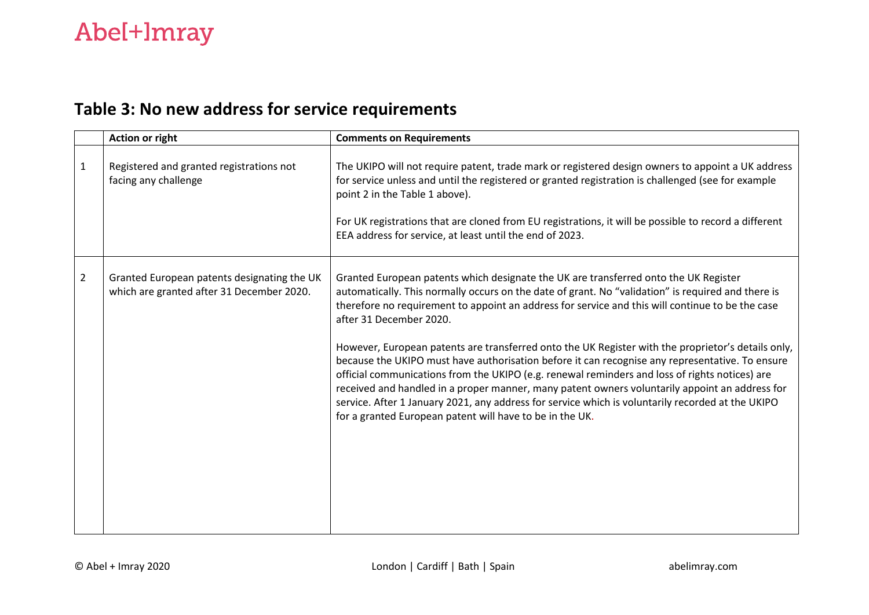#### **Table 3: No new address for service requirements**

|                | Action or right                                                                          | <b>Comments on Requirements</b>                                                                                                                                                                                                                                                                                                                                                                                                                                                                                                                                                                                                                                                                                                                                                                                                                                                                         |
|----------------|------------------------------------------------------------------------------------------|---------------------------------------------------------------------------------------------------------------------------------------------------------------------------------------------------------------------------------------------------------------------------------------------------------------------------------------------------------------------------------------------------------------------------------------------------------------------------------------------------------------------------------------------------------------------------------------------------------------------------------------------------------------------------------------------------------------------------------------------------------------------------------------------------------------------------------------------------------------------------------------------------------|
| $\mathbf{1}$   | Registered and granted registrations not<br>facing any challenge                         | The UKIPO will not require patent, trade mark or registered design owners to appoint a UK address<br>for service unless and until the registered or granted registration is challenged (see for example<br>point 2 in the Table 1 above).<br>For UK registrations that are cloned from EU registrations, it will be possible to record a different<br>EEA address for service, at least until the end of 2023.                                                                                                                                                                                                                                                                                                                                                                                                                                                                                          |
| $\overline{2}$ | Granted European patents designating the UK<br>which are granted after 31 December 2020. | Granted European patents which designate the UK are transferred onto the UK Register<br>automatically. This normally occurs on the date of grant. No "validation" is required and there is<br>therefore no requirement to appoint an address for service and this will continue to be the case<br>after 31 December 2020.<br>However, European patents are transferred onto the UK Register with the proprietor's details only,<br>because the UKIPO must have authorisation before it can recognise any representative. To ensure<br>official communications from the UKIPO (e.g. renewal reminders and loss of rights notices) are<br>received and handled in a proper manner, many patent owners voluntarily appoint an address for<br>service. After 1 January 2021, any address for service which is voluntarily recorded at the UKIPO<br>for a granted European patent will have to be in the UK. |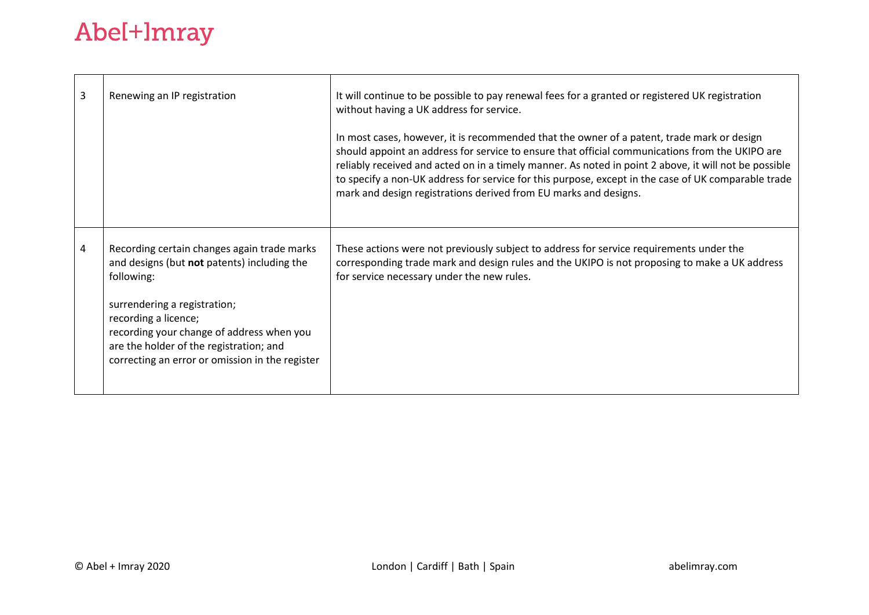|                                                                                                                                                                                                                                                                                                             | In most cases, however, it is recommended that the owner of a patent, trade mark or design                                                                                                                                                                                                                                                                                          |
|-------------------------------------------------------------------------------------------------------------------------------------------------------------------------------------------------------------------------------------------------------------------------------------------------------------|-------------------------------------------------------------------------------------------------------------------------------------------------------------------------------------------------------------------------------------------------------------------------------------------------------------------------------------------------------------------------------------|
|                                                                                                                                                                                                                                                                                                             | should appoint an address for service to ensure that official communications from the UKIPO are<br>reliably received and acted on in a timely manner. As noted in point 2 above, it will not be possible<br>to specify a non-UK address for service for this purpose, except in the case of UK comparable trade<br>mark and design registrations derived from EU marks and designs. |
| Recording certain changes again trade marks<br>and designs (but not patents) including the<br>following:<br>surrendering a registration;<br>recording a licence;<br>recording your change of address when you<br>are the holder of the registration; and<br>correcting an error or omission in the register | These actions were not previously subject to address for service requirements under the<br>corresponding trade mark and design rules and the UKIPO is not proposing to make a UK address<br>for service necessary under the new rules.                                                                                                                                              |
|                                                                                                                                                                                                                                                                                                             |                                                                                                                                                                                                                                                                                                                                                                                     |